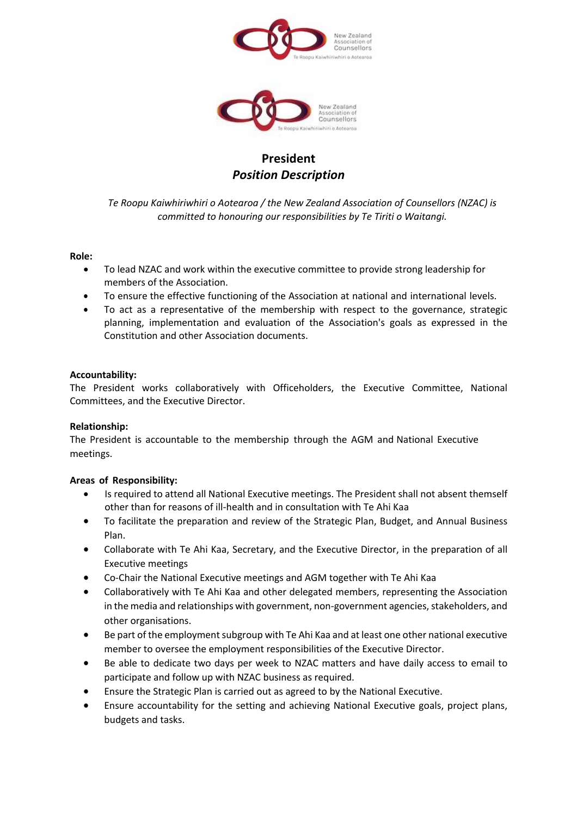



# **President** *Position Description*

*Te Roopu Kaiwhiriwhiri o Aotearoa / the New Zealand Association of Counsellors (NZAC) is committed to honouring our responsibilities by Te Tiriti o Waitangi.*

#### **Role:**

- To lead NZAC and work within the executive committee to provide strong leadership for members of the Association.
- To ensure the effective functioning of the Association at national and international levels.
- To act as a representative of the membership with respect to the governance, strategic planning, implementation and evaluation of the Association's goals as expressed in the Constitution and other Association documents.

#### **Accountability:**

The President works collaboratively with Officeholders, the Executive Committee, National Committees, and the Executive Director.

## **Relationship:**

The President is accountable to the membership through the AGM and National Executive meetings.

## **Areas of Responsibility:**

- Is required to attend all National Executive meetings. The President shall not absent themself other than for reasons of ill-health and in consultation with Te Ahi Kaa
- To facilitate the preparation and review of the Strategic Plan, Budget, and Annual Business Plan.
- Collaborate with Te Ahi Kaa, Secretary, and the Executive Director, in the preparation of all Executive meetings
- Co-Chair the National Executive meetings and AGM together with Te Ahi Kaa
- Collaboratively with Te Ahi Kaa and other delegated members, representing the Association in the media and relationships with government, non-government agencies, stakeholders, and other organisations.
- Be part of the employment subgroup with Te Ahi Kaa and at least one other national executive member to oversee the employment responsibilities of the Executive Director.
- Be able to dedicate two days per week to NZAC matters and have daily access to email to participate and follow up with NZAC business as required.
- Ensure the Strategic Plan is carried out as agreed to by the National Executive.
- Ensure accountability for the setting and achieving National Executive goals, project plans, budgets and tasks.